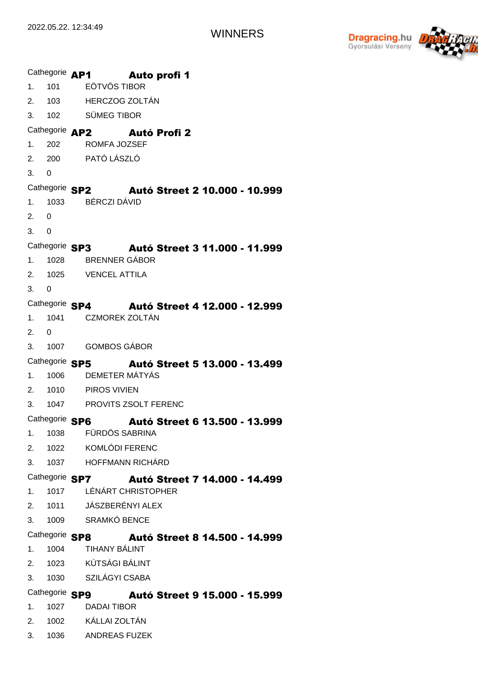

|                                       | Cathegorie AP1 | Auto profi 1                                                            |
|---------------------------------------|----------------|-------------------------------------------------------------------------|
| 1 <sub>1</sub>                        | 101            | <b>EÖTVÖS TIBOR</b>                                                     |
|                                       |                | 2. 103 HERCZOG ZOLTÁN                                                   |
| 3.                                    | 102            | SÜMEG TIBOR                                                             |
| Cathegorie AP2<br><b>Autó Profi 2</b> |                |                                                                         |
| 1 <sub>1</sub>                        | 202            | <b>ROMFA JOZSEF</b>                                                     |
|                                       |                | 2. 200 PATÓ LÁSZLÓ                                                      |
| 3.                                    | $\Omega$       |                                                                         |
|                                       |                | Cathegorie SP2 Autó Street 2 10.000 - 10.999                            |
| 1.                                    | 1033           | <b>BÉRCZI DÁVID</b>                                                     |
| 2.                                    | 0              |                                                                         |
| 3.                                    | $\Omega$       |                                                                         |
|                                       |                | Cathegorie SP3<br>Autó Street 3 11.000 - 11.999                         |
| 1.                                    | 1028           | <b>BRENNER GÁBOR</b>                                                    |
|                                       |                | 2. 1025 VENCEL ATTILA                                                   |
| 3.                                    | 0              |                                                                         |
|                                       |                | Cathegorie SP4 Autó Street 4 12.000 - 12.999                            |
| 1.                                    | 1041           | <b>CZMOREK ZOLTÁN</b>                                                   |
| 2.                                    | 0              |                                                                         |
| 3.                                    |                | 1007 GOMBOS GÁBOR                                                       |
|                                       |                | Cathegorie SP5<br>Autó Street 5 13.000 - 13.499                         |
| 1.                                    | 1006           | DEMETER MÁTYÁS                                                          |
|                                       |                | 2. 1010 PIROS VIVIEN                                                    |
| 3.                                    |                | 1047 PROVITS ZSOLT FERENC                                               |
|                                       | Cathegorie SP6 | <b>Autó Street 6 13.500 - 13.999</b>                                    |
| 1.                                    |                | 1038 FÜRDÖS SABRINA                                                     |
|                                       |                | 2. 1022 KOMLÓDI FERENC                                                  |
|                                       |                | 3. 1037 HOFFMANN RICHÁRD                                                |
|                                       |                | Cathegorie SP7 Autó Street 7 14.000 - 14.499<br>1017 LÉNÁRT CHRISTOPHER |
| 1.                                    |                | 2. 1011 JÁSZBERÉNYI ALEX                                                |
|                                       |                | 3. 1009 SRAMKÓ BENCE                                                    |
|                                       |                |                                                                         |
|                                       |                | Cathegorie SP8 Autó Street 8 14.500 - 14.999<br>1004 TIHANY BÁLINT      |
| 1.                                    |                |                                                                         |
|                                       |                | 2. 1023 KÚTSÁGI BÁLINT<br>3. 1030 SZILÁGYI CSABA                        |
|                                       |                |                                                                         |
|                                       |                | Cathegorie SP9 Autó Street 9 15.000 - 15.999                            |
| 1.                                    |                | 1027 DADAI TIBOR                                                        |
|                                       |                | 2. 1002 KÁLLAI ZOLTÁN<br>1036 ANDREAS FUZEK                             |
| 3.                                    |                |                                                                         |